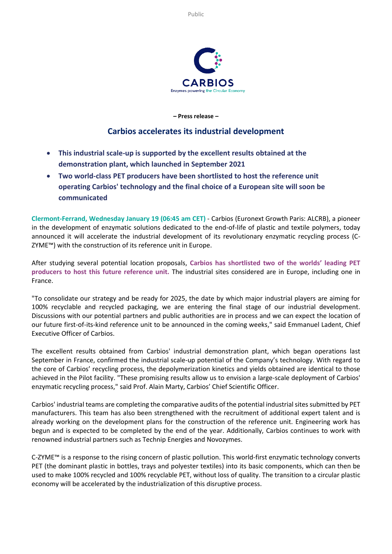



**– Press release –**

## **Carbios accelerates its industrial development**

- **This industrial scale-up is supported by the excellent results obtained at the demonstration plant, which launched in September 2021**
- **Two world-class PET producers have been shortlisted to host the reference unit operating Carbios' technology and the final choice of a European site will soon be communicated**

**Clermont-Ferrand, Wednesday January 19 (06:45 am CET)** - Carbios (Euronext Growth Paris: ALCRB), a pioneer in the development of enzymatic solutions dedicated to the end-of-life of plastic and textile polymers, today announced it will accelerate the industrial development of its revolutionary enzymatic recycling process (C-ZYME™) with the construction of its reference unit in Europe.

After studying several potential location proposals, **Carbios has shortlisted two of the worlds' leading PET producers to host this future reference unit.** The industrial sites considered are in Europe, including one in France.

"To consolidate our strategy and be ready for 2025, the date by which major industrial players are aiming for 100% recyclable and recycled packaging, we are entering the final stage of our industrial development. Discussions with our potential partners and public authorities are in process and we can expect the location of our future first-of-its-kind reference unit to be announced in the coming weeks," said Emmanuel Ladent, Chief Executive Officer of Carbios.

The excellent results obtained from Carbios' industrial demonstration plant, which began operations last September in France, confirmed the industrial scale-up potential of the Company's technology. With regard to the core of Carbios' recycling process, the depolymerization kinetics and yields obtained are identical to those achieved in the Pilot facility. "These promising results allow us to envision a large-scale deployment of Carbios' enzymatic recycling process," said Prof. Alain Marty, Carbios' Chief Scientific Officer.

Carbios' industrial teams are completing the comparative audits of the potential industrial sites submitted by PET manufacturers. This team has also been strengthened with the recruitment of additional expert talent and is already working on the development plans for the construction of the reference unit. Engineering work has begun and is expected to be completed by the end of the year. Additionally, Carbios continues to work with renowned industrial partners such as Technip Energies and Novozymes.

C-ZYME™ is a response to the rising concern of plastic pollution. This world-first enzymatic technology converts PET (the dominant plastic in bottles, trays and polyester textiles) into its basic components, which can then be used to make 100% recycled and 100% recyclable PET, without loss of quality. The transition to a circular plastic economy will be accelerated by the industrialization of this disruptive process.